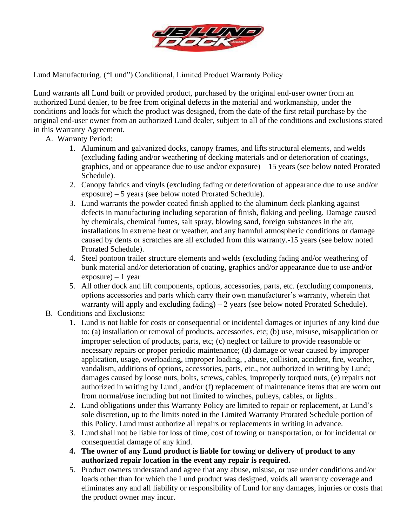

Lund Manufacturing. ("Lund") Conditional, Limited Product Warranty Policy

Lund warrants all Lund built or provided product, purchased by the original end-user owner from an authorized Lund dealer, to be free from original defects in the material and workmanship, under the conditions and loads for which the product was designed, from the date of the first retail purchase by the original end-user owner from an authorized Lund dealer, subject to all of the conditions and exclusions stated in this Warranty Agreement.

- A. Warranty Period:
	- 1. Aluminum and galvanized docks, canopy frames, and lifts structural elements, and welds (excluding fading and/or weathering of decking materials and or deterioration of coatings, graphics, and or appearance due to use and/or exposure) – 15 years (see below noted Prorated Schedule).
	- 2. Canopy fabrics and vinyls (excluding fading or deterioration of appearance due to use and/or exposure) – 5 years (see below noted Prorated Schedule).
	- 3. Lund warrants the powder coated finish applied to the aluminum deck planking against defects in manufacturing including separation of finish, flaking and peeling. Damage caused by chemicals, chemical fumes, salt spray, blowing sand, foreign substances in the air, installations in extreme heat or weather, and any harmful atmospheric conditions or damage caused by dents or scratches are all excluded from this warranty.-15 years (see below noted Prorated Schedule).
	- 4. Steel pontoon trailer structure elements and welds (excluding fading and/or weathering of bunk material and/or deterioration of coating, graphics and/or appearance due to use and/or  $exposure - 1 year$
	- 5. All other dock and lift components, options, accessories, parts, etc. (excluding components, options accessories and parts which carry their own manufacturer's warranty, wherein that warranty will apply and excluding fading)  $-2$  years (see below noted Prorated Schedule).
- B. Conditions and Exclusions:
	- 1. Lund is not liable for costs or consequential or incidental damages or injuries of any kind due to: (a) installation or removal of products, accessories, etc; (b) use, misuse, misapplication or improper selection of products, parts, etc; (c) neglect or failure to provide reasonable or necessary repairs or proper periodic maintenance; (d) damage or wear caused by improper application, usage, overloading, improper loading, , abuse, collision, accident, fire, weather, vandalism, additions of options, accessories, parts, etc., not authorized in writing by Lund; damages caused by loose nuts, bolts, screws, cables, improperly torqued nuts, (e) repairs not authorized in writing by Lund , and/or (f) replacement of maintenance items that are worn out from normal/use including but not limited to winches, pulleys, cables, or lights..
	- 2. Lund obligations under this Warranty Policy are limited to repair or replacement, at Lund's sole discretion, up to the limits noted in the Limited Warranty Prorated Schedule portion of this Policy. Lund must authorize all repairs or replacements in writing in advance.
	- 3. Lund shall not be liable for loss of time, cost of towing or transportation, or for incidental or consequential damage of any kind.
	- **4. The owner of any Lund product is liable for towing or delivery of product to any authorized repair location in the event any repair is required.**
	- 5. Product owners understand and agree that any abuse, misuse, or use under conditions and/or loads other than for which the Lund product was designed, voids all warranty coverage and eliminates any and all liability or responsibility of Lund for any damages, injuries or costs that the product owner may incur.